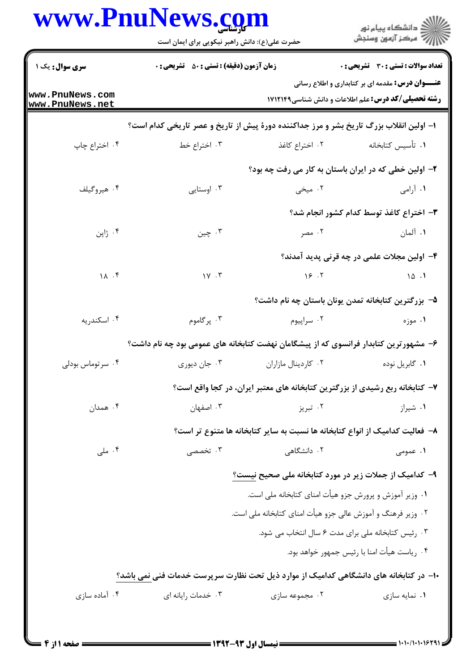|                                    | حضرت علی(ع): دانش راهبر نیکویی برای ایمان است                                           |                                                                              | ڪ دانشڪاه پيا <sub>م</sub> نور<br>∕7 مرڪز آزمون وسنڊش                                                                  |
|------------------------------------|-----------------------------------------------------------------------------------------|------------------------------------------------------------------------------|------------------------------------------------------------------------------------------------------------------------|
| سری سوال : یک ۱                    | <b>زمان آزمون (دقیقه) : تستی : 50 ٪ تشریحی : 0</b>                                      |                                                                              | <b>تعداد سوالات : تستی : 30 ٪ تشریحی : 0</b>                                                                           |
| www.PnuNews.com<br>www.PnuNews.net |                                                                                         |                                                                              | <b>عنــــوان درس:</b> مقدمه ای بر کتابداری و اطلاع رسانی<br><b>رشته تحصیلی/کد درس:</b> علم اطلاعات و دانش شناسی1۷۱۲۱۴۹ |
|                                    | ا– اولین انقلاب بزرگ تاریخ بشر و مرز جداکننده دورهٔ پیش از تاریخ و عصر تاریخی کدام است؟ |                                                                              |                                                                                                                        |
| ۰۴ اختراع چاپ                      | ۰۳ اختراع خط                                                                            | ۰۲ اختراع کاغذ                                                               | ٠١ تأسيس كتابخانه                                                                                                      |
|                                    |                                                                                         | ۲- اولین خطی که در ایران باستان به کار می رفت چه بود؟                        |                                                                                                                        |
| ۰۴ هیروگیلف                        | ۰۳ اوستایی                                                                              | ۰۲ میخی                                                                      | ۰۱ آرامی                                                                                                               |
|                                    |                                                                                         |                                                                              | ۳- اختراع کاغذ توسط کدام کشور انجام شد؟                                                                                |
| ۰۴ ژاپن                            | ۰۳ چين                                                                                  | ۰۲ مصر                                                                       | ۰۱ آلمان                                                                                                               |
|                                    |                                                                                         |                                                                              | ۴– اولین مجلات علمی در چه قرنی پدید آمدند؟                                                                             |
| 11.7                               | $1Y \cdot Y$                                                                            | 19.7                                                                         | 10.1                                                                                                                   |
|                                    |                                                                                         |                                                                              | ۵− بزرگترین کتابخانه تمدن یونان باستان چه نام داشت؟                                                                    |
| ۰۴ اسکندریه                        | ۰۳ پرگاموم                                                                              | ۰۲ سراپيوم                                                                   | ۰۱ موزه                                                                                                                |
|                                    | ۶– مشهورترین کتابدار فرانسوی که از پیشگامان نهضت کتابخانه های عمومی بود چه نام داشت؟    |                                                                              |                                                                                                                        |
| ۰۴ سر توماس بودلی                  | ۰۳ جان دیوری                                                                            | ۰۲ کاردینال مازاران                                                          | ۰۱ گابريل نوده                                                                                                         |
|                                    |                                                                                         | ۷- کتابخانه ربع رشیدی از بزرگترین کتابخانه های معتبر ایران، در کجا واقع است؟ |                                                                                                                        |
| ۰۴ همدان                           | ۰۳ اصفهان                                                                               | ۰۲ تبریز                                                                     | ۰۱ شیراز                                                                                                               |
|                                    |                                                                                         | ۸– فعالیت کدامیک از انواع کتابخانه ها نسبت به سایر کتابخانه ها متنوع تر است؟ |                                                                                                                        |
| ۰۴ ملی                             | ۰۳ تخصصی                                                                                | ۰۲ دانشگاهی                                                                  | ۰۱ عمومی                                                                                                               |
|                                    |                                                                                         | ۹– کدامیک از جملات زیر در مورد کتابخانه ملی صحیح نیست؟                       |                                                                                                                        |
|                                    |                                                                                         | ٠١ وزير أموزش و پرورش جزو هيأت امناي كتابخانه ملي است.                       |                                                                                                                        |
|                                    |                                                                                         | ۰۲ وزیر فرهنگ و آموزش عالی جزو هیأت امنای کتابخانه ملی است.                  |                                                                                                                        |
|                                    |                                                                                         | ۰۳ رئیس کتابخانه ملی برای مدت ۶ سال انتخاب می شود.                           |                                                                                                                        |
|                                    |                                                                                         |                                                                              | ۰۴ رياست هيأت امنا با رئيس جمهور خواهد بود.                                                                            |
|                                    | ۱۰− در کتابخانه های دانشگاهی کدامیک از موارد ذیل تحت نظارت سرپرست خدمات فنی نمی باشد؟   |                                                                              |                                                                                                                        |
| ۰۴ آماده سازی                      | ۰۳ خدمات رايانه اي                                                                      | ۰۲ مجموعه سازی                                                               | ۰۱ نمایه سازی                                                                                                          |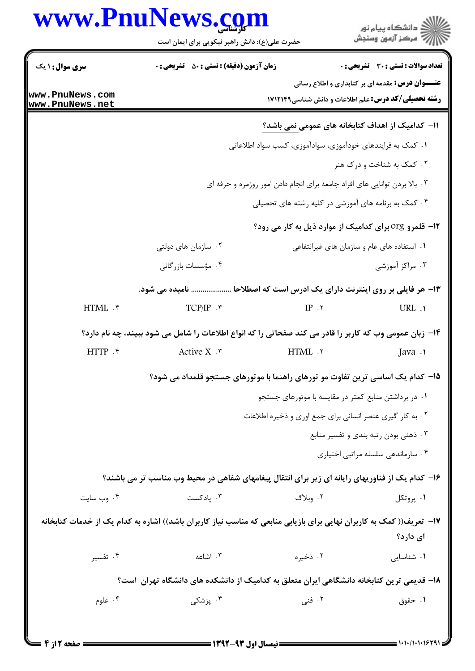## www.PnuNews.com

|                        | www.PnuNews.com<br>حضرت علی(ع): دانش راهبر نیکویی برای ایمان است                                                     |                                                                            | د<br>د انشڪاه پيام نور<br>7 مرڪز آزمون وسنڊش            |
|------------------------|----------------------------------------------------------------------------------------------------------------------|----------------------------------------------------------------------------|---------------------------------------------------------|
| <b>سری سوال :</b> ۱ یک | <b>زمان آزمون (دقیقه) : تستی : 50 ٪ تشریحی : 0</b>                                                                   |                                                                            | تعداد سوالات : تستي : 30 ٪ تشريحي : 0                   |
| www.PnuNews.com        |                                                                                                                      |                                                                            | <b>عنـــوان درس:</b> مقدمه ای بر کتابداری و اطلاع رسانی |
| www.PnuNews.net        |                                                                                                                      | <b>رشته تحصیلی/کد درس:</b> علم اطلاعات و دانش شناسی1۷۱۲۱۴۹                 |                                                         |
|                        |                                                                                                                      | 11– کدامیک از اهداف کتابخانه های عمومی نمی باشد؟                           |                                                         |
|                        |                                                                                                                      | ۰۱ کمک به فرایندهای خودآموزی، سوادآموزی، کسب سواد اطلاعاتی                 |                                                         |
|                        |                                                                                                                      |                                                                            | ۰۲ کمک به شناخت و درک هنر                               |
|                        |                                                                                                                      | ۰۳ بالا بردن توانایی های افراد جامعه برای انجام دادن امور روزمره و حرفه ای |                                                         |
|                        |                                                                                                                      | ۰۴ کمک به برنامه های آموزشی در کلیه رشته های تحصیلی                        |                                                         |
|                        |                                                                                                                      | <b>۱۲</b> - قلمرو Org برای کدامیک از موارد ذیل به کار می رود؟              |                                                         |
|                        | ۰۲ سازمان های دولتی                                                                                                  | ۰۱ استفاده های عام و سازمان های غیرانتفاعی                                 |                                                         |
|                        | ۰۴ مؤسسات بازرگانی                                                                                                   |                                                                            | ۰۳ مراکز آموزشی                                         |
|                        | ۱۳- هر فایلی بر روی اینترنت دارای یک ادرس است که اصطلاحا  نامیده می شود.                                             |                                                                            |                                                         |
| HTML . ۴               | $TCP/IP \cdot \tau$                                                                                                  | IP.7                                                                       | URL .                                                   |
|                        | ۱۴- زبان عمومی وب که کاربر را قادر می کند صفحاتی را که انواع اطلاعات را شامل می شود ببیند، چه نام دارد؟              |                                                                            |                                                         |
| HTTP . ۴               | Active $X \cdot r$                                                                                                   | HTML .٢                                                                    | Java .                                                  |
|                        | 1۵– کدام یک اساسی ترین تفاوت مو تورهای راهنما با موتورهای جستجو قلمداد می شود؟                                       |                                                                            |                                                         |
|                        |                                                                                                                      | ۰۱ در برداشتن منابع کمتر در مقایسه با موتورهای جستجو                       |                                                         |
|                        |                                                                                                                      | ۰۲ به کار گیری عنصر انسانی برای جمع اوری و ذخیره اطلاعات                   |                                                         |
|                        |                                                                                                                      |                                                                            | ۰۳ ذهنی بودن رتبه بندی و تفسیر منابع                    |
|                        |                                                                                                                      |                                                                            |                                                         |
|                        |                                                                                                                      |                                                                            | ۰۴ سازماندهی سلسله مراتبی اختیاری                       |
|                        | ۱۶- کدام یک از فناوریهای رایانه ای زیر برای انتقال پیغامهای شفاهی در محیط وب مناسب تر می باشند؟                      |                                                                            |                                                         |
| ۰۴ وب سایت             | ۰۳ پادکست                                                                                                            | ۲. وبلاگ                                                                   | ۰۱ پروتکل                                               |
|                        |                                                                                                                      |                                                                            |                                                         |
|                        | ۱۷– تعریف(( کمک به کاربران نهایی برای بازیابی منابعی که مناسب نیاز کاربران باشد)) اشاره به کدام یک از خدمات کتابخانه |                                                                            | ای دارد؟                                                |
| ۰۴ تفسیر               | ۰۳ اشاعه                                                                                                             | ۰۲ ذخیره                                                                   | ٠١ شناسايى                                              |
|                        | ۱۸– قدیمی ترین کتابخانه دانشگاهی ایران متعلق به کدامیک از دانشکده های دانشگاه تهران است؟                             |                                                                            |                                                         |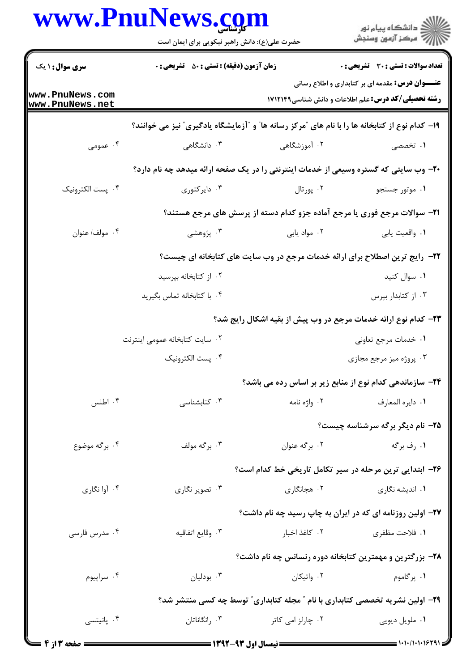|                                    | www.PnuNews.com<br>حضرت علی(ع): دانش راهبر نیکویی برای ایمان است                               |                                                                              | ِ<br>∭ دانشڪاه پيام نور<br>∭ مرڪز آزمون وسنڊش                                                                          |
|------------------------------------|------------------------------------------------------------------------------------------------|------------------------------------------------------------------------------|------------------------------------------------------------------------------------------------------------------------|
| <b>سری سوال : ۱ یک</b>             | زمان آزمون (دقیقه) : تستی : 50 ٪ تشریحی : 0                                                    |                                                                              | تعداد سوالات : تستي : 30 ٪ تشريحي : 0                                                                                  |
| www.PnuNews.com<br>www.PnuNews.net |                                                                                                |                                                                              | <b>عنــــوان درس:</b> مقدمه ای بر کتابداری و اطلاع رسانی<br><b>رشته تحصیلی/کد درس:</b> علم اطلاعات و دانش شناسی1۷۱۲۱۴۹ |
|                                    | ۱۹- کدام نوع از کتابخانه ها را با نام های "مرکز رسانه ها" و "آزمایشگاه یادگیری" نیز می خوانند؟ |                                                                              |                                                                                                                        |
| ۰۴ عمومی                           | ۰۳ دانشگاهی                                                                                    | ۰۲ آموزشگاهی                                                                 | ۱. تخصصی                                                                                                               |
|                                    | ۲۰- وب سایتی که گستره وسیعی از خدمات اینترنتی را در یک صفحه ارائه میدهد چه نام دارد؟           |                                                                              |                                                                                                                        |
| ۰۴ پست الکترونیک                   | ۰۳ دایرکتوری                                                                                   | ۰۲ پورتال                                                                    | ۰۱ موتور جستجو                                                                                                         |
|                                    |                                                                                                | ۲۱- سوالات مرجع فوری یا مرجع آماده جزو کدام دسته از پرسش های مرجع هستند؟     |                                                                                                                        |
| ۰۴ مولف/ عنوان                     | ۰۳ پژوهشی                                                                                      | ۰۲ مواد يابي                                                                 | ٠١ واقعيت يابي                                                                                                         |
|                                    | ۲۲- رایج ترین اصطلاح برای ارائه خدمات مرجع در وب سایت های کتابخانه ای چیست؟                    |                                                                              |                                                                                                                        |
|                                    | ۰۲ از کتابخانه بپرسید                                                                          |                                                                              | ۰۱ سوال کنید                                                                                                           |
|                                    | ۰۴ با کتابخانه تماس بگیرید                                                                     |                                                                              | ۰۳ از کتابدار بپرس                                                                                                     |
|                                    |                                                                                                | ۲۳– کدام نوع ارائه خدمات مرجع در وب پیش از بقیه اشکال رایج شد؟               |                                                                                                                        |
|                                    | ۰۲ سایت کتابخانه عمومی اینترنت                                                                 |                                                                              | ۰۱ خدمات مرجع تعاوني                                                                                                   |
|                                    | ۰۴ پست الکترونیک                                                                               |                                                                              | ۰۳ پروژه میز مرجع مجازی                                                                                                |
|                                    |                                                                                                | ۲۴- سازماندهی کدام نوع از منابع زیر بر اساس رده می باشد؟                     |                                                                                                                        |
| ۰۴ اطلس                            | ۰۳ کتابشناسی                                                                                   | ۰۲ واژه نامه                                                                 | ٠١. دايره المعارف                                                                                                      |
|                                    |                                                                                                |                                                                              | ۲۵- نام دیگر برگه سرشناسه چیست؟                                                                                        |
| ۰۴ برگه موضوع                      | ۰۳ برگه مولف                                                                                   | ۰۲ برگه عنوان                                                                | ۱. رف برگه                                                                                                             |
|                                    |                                                                                                | ۲۶– ابتدایی ترین مرحله در سیر تکامل تاریخی خط کدام است؟                      |                                                                                                                        |
| ۰۴ آوا نگاري                       | ۰۳ تصویر نگاری                                                                                 | ۰۲ هجانگاری                                                                  | ۰۱ اندیشه نگاری                                                                                                        |
|                                    |                                                                                                | ۲۷- اولین روزنامه ای که در ایران به چاپ رسید چه نام داشت؟                    |                                                                                                                        |
| ۰۴ مدرس فارسی                      | ۰۳ وقايع اتفاقيه                                                                               | ۰۲ کاغذ اخبار                                                                | ١. فلاحت مظفري                                                                                                         |
|                                    |                                                                                                | ۲۸- بزرگترین و مهمترین کتابخانه دوره رنسانس چه نام داشت؟                     |                                                                                                                        |
| ۰۴ سراپيوم                         | ۰۳ بودلیان                                                                                     | ۰۲ واتیکان                                                                   | ۱. پرگاموم                                                                                                             |
|                                    |                                                                                                | ۲۹- اولین نشریه تخصصی کتابداری با نام " مجله کتابداری" توسط چه کسی منتشر شد؟ |                                                                                                                        |
| ۰۴ پانیتسی                         | ۰۳ رانگاناتان                                                                                  | ۰۲ چارلز امی کاتر                                                            | ٠١ ملويل ديويي                                                                                                         |
|                                    |                                                                                                |                                                                              |                                                                                                                        |